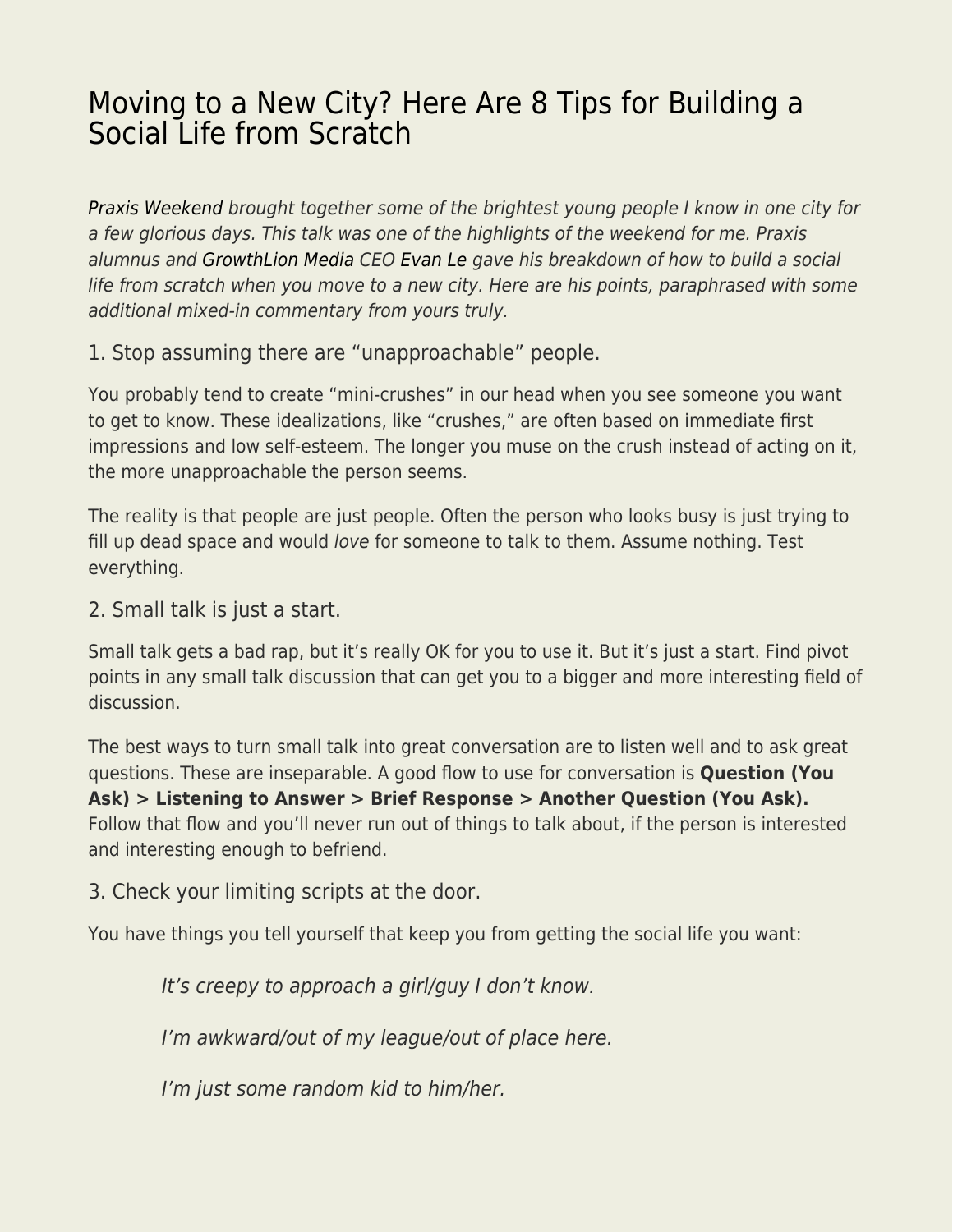## [Moving to a New City? Here Are 8 Tips for Building a](https://everything-voluntary.com/moving-new-city-8-tips-building-social-life-scratch) [Social Life from Scratch](https://everything-voluntary.com/moving-new-city-8-tips-building-social-life-scratch)

[Praxis Weekend](https://discoverpraxis.com/praxis-weekend/) brought together some of the brightest young people I know in one city for a few glorious days. This talk was one of the highlights of the weekend for me. Praxis alumnus and [GrowthLion Media](https://www.linkedin.com/company/11175631/) CEO [Evan Le](http://www.theevanle.com/) gave his breakdown of how to build a social life from scratch when you move to a new city. Here are his points, paraphrased with some additional mixed-in commentary from yours truly.

1. Stop assuming there are "unapproachable" people.

You probably tend to create "mini-crushes" in our head when you see someone you want to get to know. These idealizations, like "crushes," are often based on immediate first impressions and low self-esteem. The longer you muse on the crush instead of acting on it, the more unapproachable the person seems.

The reality is that people are just people. Often the person who looks busy is just trying to fill up dead space and would love for someone to talk to them. Assume nothing. Test everything.

2. Small talk is just a start.

Small talk gets a bad rap, but it's really OK for you to use it. But it's just a start. Find pivot points in any small talk discussion that can get you to a bigger and more interesting field of discussion.

The best ways to turn small talk into great conversation are to listen well and to ask great questions. These are inseparable. A good flow to use for conversation is **Question (You Ask) > Listening to Answer > Brief Response > Another Question (You Ask).** Follow that flow and you'll never run out of things to talk about, if the person is interested and interesting enough to befriend.

3. Check your limiting scripts at the door.

You have things you tell yourself that keep you from getting the social life you want:

It's creepy to approach a girl/guy I don't know.

I'm awkward/out of my league/out of place here.

I'm just some random kid to him/her.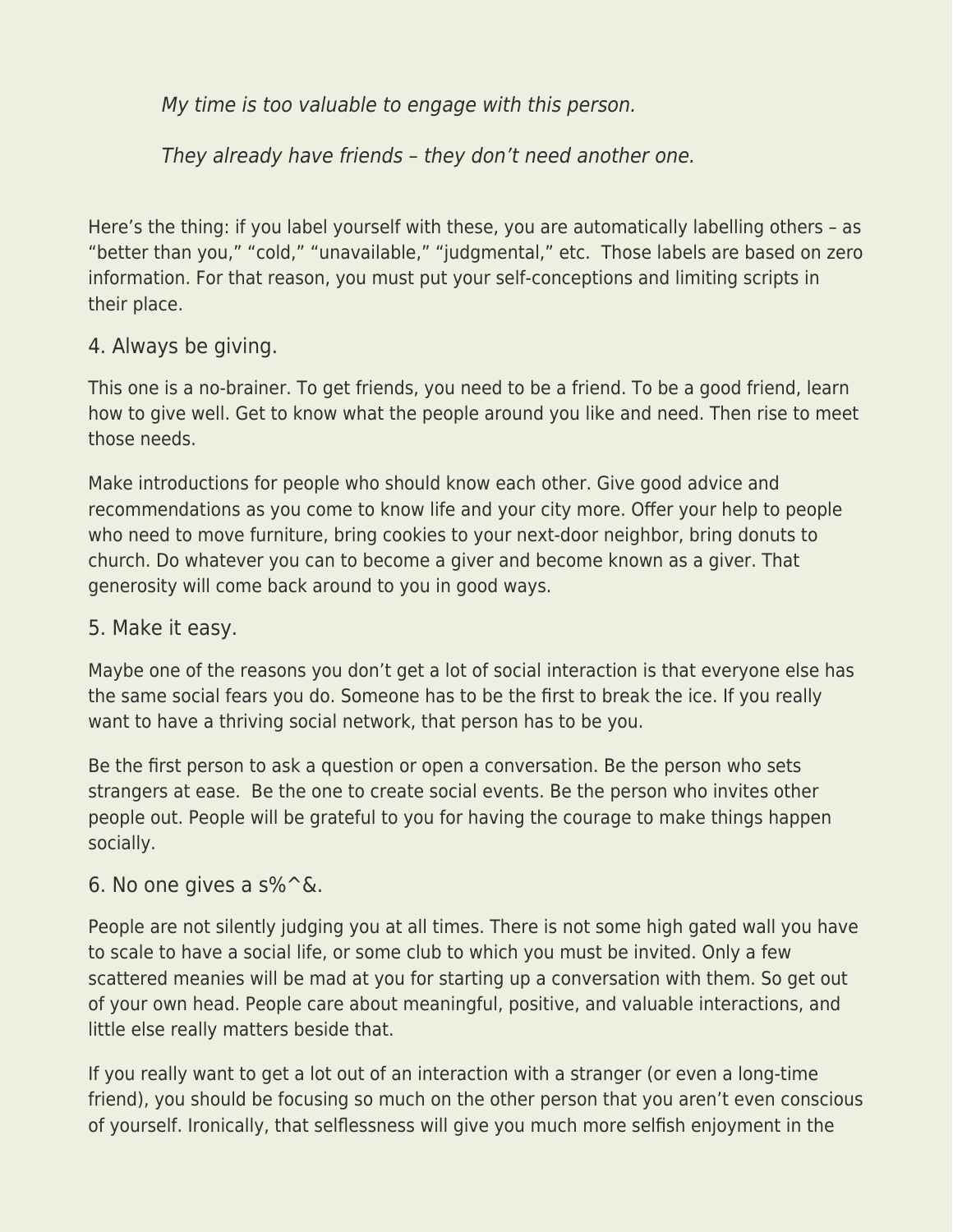My time is too valuable to engage with this person.

They already have friends – they don't need another one.

Here's the thing: if you label yourself with these, you are automatically labelling others – as "better than you," "cold," "unavailable," "judgmental," etc. Those labels are based on zero information. For that reason, you must put your self-conceptions and limiting scripts in their place.

## 4. Always be giving.

This one is a no-brainer. To get friends, you need to be a friend. To be a good friend, learn how to give well. Get to know what the people around you like and need. Then rise to meet those needs.

Make introductions for people who should know each other. Give good advice and recommendations as you come to know life and your city more. Offer your help to people who need to move furniture, bring cookies to your next-door neighbor, bring donuts to church. Do whatever you can to become a giver and become known as a giver. That generosity will come back around to you in good ways.

## 5. Make it easy.

Maybe one of the reasons you don't get a lot of social interaction is that everyone else has the same social fears you do. Someone has to be the first to break the ice. If you really want to have a thriving social network, that person has to be you.

Be the first person to ask a question or open a conversation. Be the person who sets strangers at ease. Be the one to create social events. Be the person who invites other people out. People will be grateful to you for having the courage to make things happen socially.

## 6. No one gives a  $s\%^{\wedge}$ &.

People are not silently judging you at all times. There is not some high gated wall you have to scale to have a social life, or some club to which you must be invited. Only a few scattered meanies will be mad at you for starting up a conversation with them. So get out of your own head. People care about meaningful, positive, and valuable interactions, and little else really matters beside that.

If you really want to get a lot out of an interaction with a stranger (or even a long-time friend), you should be focusing so much on the other person that you aren't even conscious of yourself. Ironically, that selflessness will give you much more selfish enjoyment in the